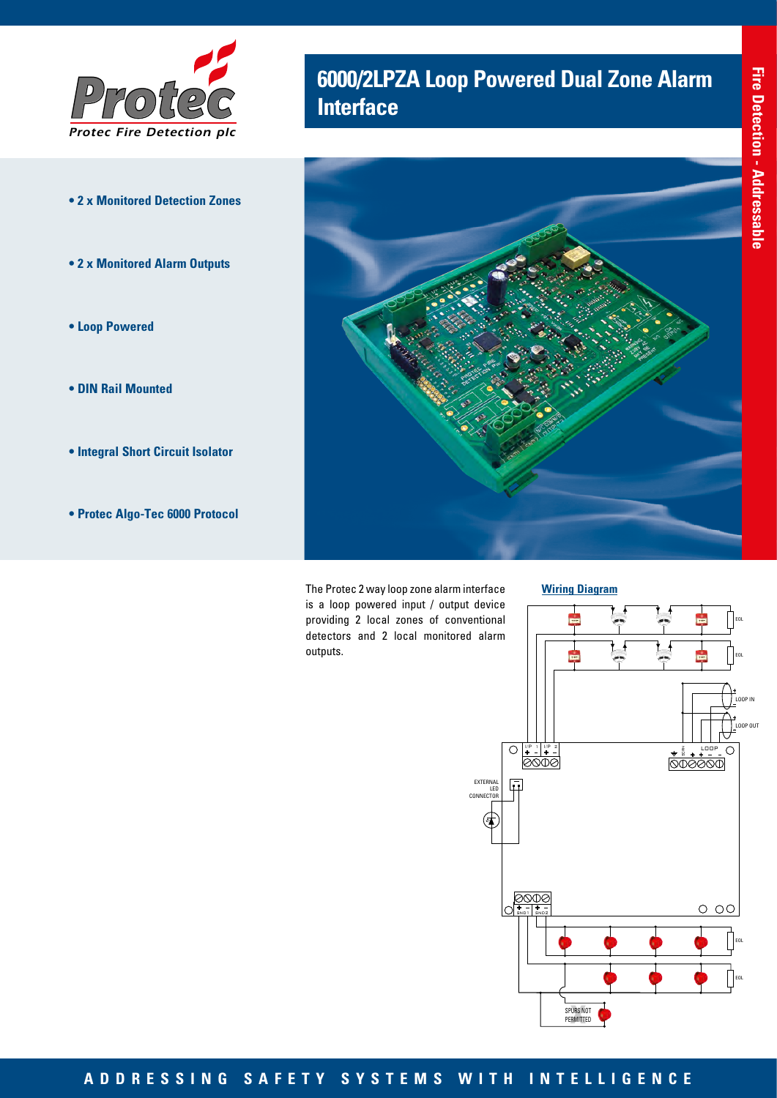

- **2 x Monitored Detection Zones**
- **2 x Monitored Alarm Outputs**
- **Loop Powered**
- **DIN Rail Mounted**
- **Integral Short Circuit Isolator**
- **Protec Algo-Tec 6000 Protocol**

## **6000/2LPZA Loop Powered Dual Zone Alarm Interface**



The Protec 2 way loop zone alarm interface is a loop powered input / output device providing 2 local zones of conventional detectors and 2 local monitored alarm outputs.





## **ADDRESSING SAFETY SYSTEMS WITH INTELLIGENCE**